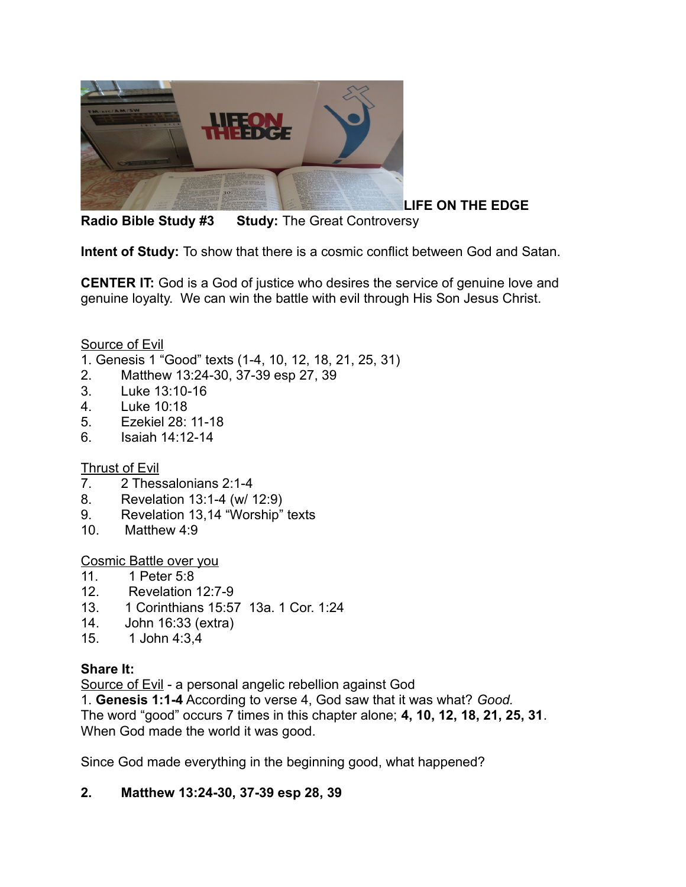

**Radio Bible Study #3 Study:** The Great Controversy

**Intent of Study:** To show that there is a cosmic conflict between God and Satan.

**CENTER IT:** God is a God of justice who desires the service of genuine love and genuine loyalty. We can win the battle with evil through His Son Jesus Christ.

Source of Evil

- 1. Genesis 1 "Good" texts (1-4, 10, 12, 18, 21, 25, 31)
- 2. Matthew 13:24-30, 37-39 esp 27, 39
- 3. Luke 13:10-16
- 4. Luke 10:18
- 5. Ezekiel 28: 11-18
- 6. Isaiah 14:12-14

Thrust of Evil

- 7. 2 Thessalonians 2:1-4
- 8. Revelation 13:1-4 (w/ 12:9)
- 9. Revelation 13,14 "Worship" texts
- 10. Matthew 4:9

Cosmic Battle over you

- 11. 1 Peter 5:8
- 12. Revelation 12:7-9
- 13. 1 Corinthians 15:57 13a. 1 Cor. 1:24
- 14. John 16:33 (extra)
- 15. 1 John 4:3,4

#### **Share It:**

Source of Evil - a personal angelic rebellion against God

1. **Genesis 1:1-4** According to verse 4, God saw that it was what? *Good.* The word "good" occurs 7 times in this chapter alone; **4, 10, 12, 18, 21, 25, 31**. When God made the world it was good.

Since God made everything in the beginning good, what happened?

### **2. Matthew 13:24-30, 37-39 esp 28, 39**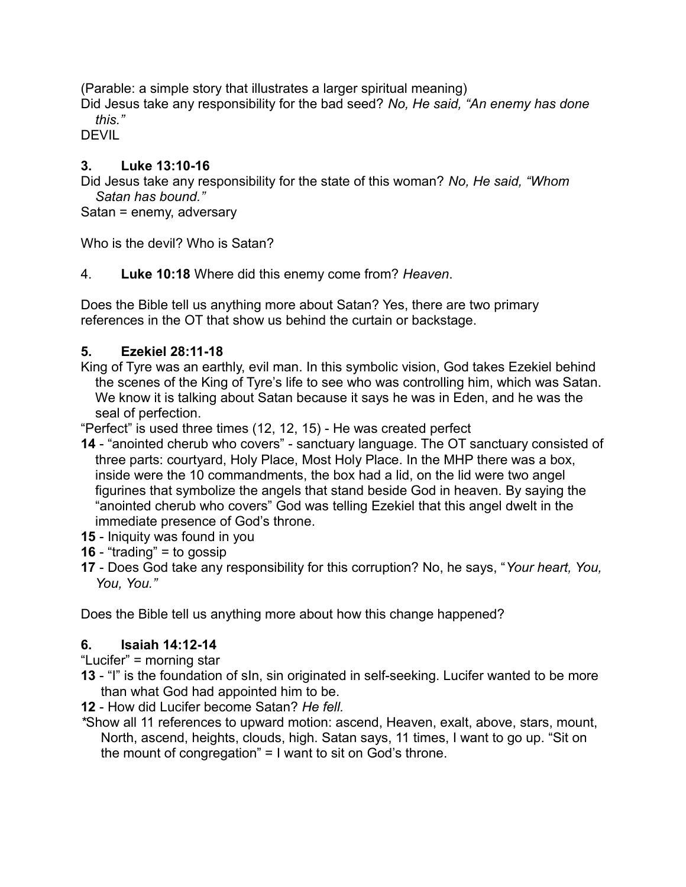(Parable: a simple story that illustrates a larger spiritual meaning)

Did Jesus take any responsibility for the bad seed? *No, He said, "An enemy has done this."* 

**DEVIL** 

## **3. Luke 13:10-16**

Did Jesus take any responsibility for the state of this woman? *No, He said, "Whom Satan has bound."*

Satan = enemy, adversary

Who is the devil? Who is Satan?

### 4. **Luke 10:18** Where did this enemy come from? *Heaven*.

Does the Bible tell us anything more about Satan? Yes, there are two primary references in the OT that show us behind the curtain or backstage.

### **5. Ezekiel 28:11-18**

King of Tyre was an earthly, evil man. In this symbolic vision, God takes Ezekiel behind the scenes of the King of Tyre's life to see who was controlling him, which was Satan. We know it is talking about Satan because it says he was in Eden, and he was the seal of perfection.

"Perfect" is used three times (12, 12, 15) - He was created perfect

- **14** "anointed cherub who covers" sanctuary language. The OT sanctuary consisted of three parts: courtyard, Holy Place, Most Holy Place. In the MHP there was a box, inside were the 10 commandments, the box had a lid, on the lid were two angel figurines that symbolize the angels that stand beside God in heaven. By saying the "anointed cherub who covers" God was telling Ezekiel that this angel dwelt in the immediate presence of God's throne.
- **15** Iniquity was found in you
- **16** "trading" = to gossip
- **17** Does God take any responsibility for this corruption? No, he says, "*Your heart, You, You, You."*

Does the Bible tell us anything more about how this change happened?

### **6. Isaiah 14:12-14**

"Lucifer" = morning star

- **13** "I" is the foundation of sIn, sin originated in self-seeking. Lucifer wanted to be more than what God had appointed him to be.
- **12** How did Lucifer become Satan? *He fell.*
- *\**Show all 11 references to upward motion: ascend, Heaven, exalt, above, stars, mount, North, ascend, heights, clouds, high. Satan says, 11 times, I want to go up. "Sit on the mount of congregation" = I want to sit on God's throne.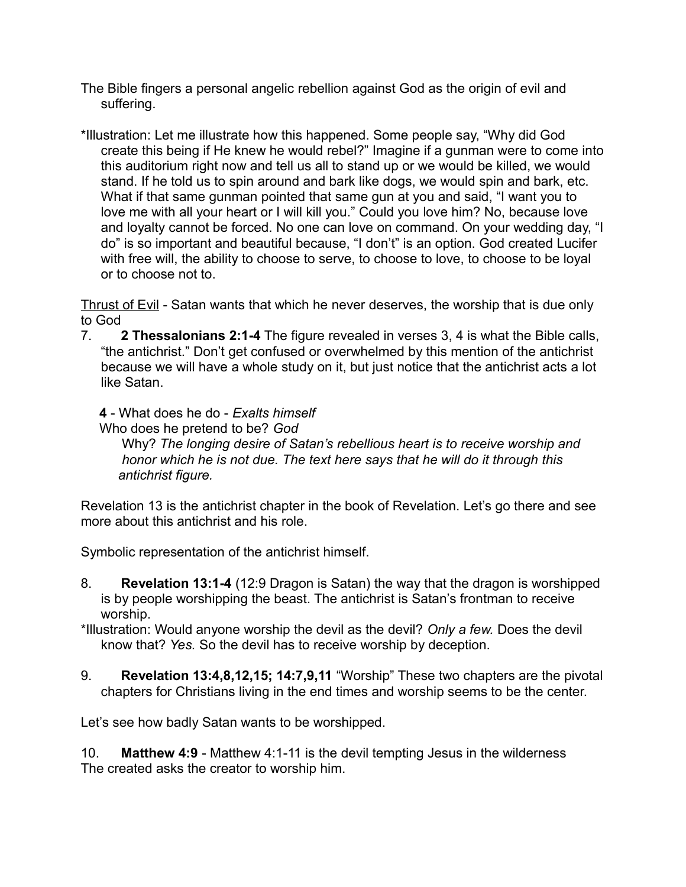- The Bible fingers a personal angelic rebellion against God as the origin of evil and suffering.
- \*Illustration: Let me illustrate how this happened. Some people say, "Why did God create this being if He knew he would rebel?" Imagine if a gunman were to come into this auditorium right now and tell us all to stand up or we would be killed, we would stand. If he told us to spin around and bark like dogs, we would spin and bark, etc. What if that same gunman pointed that same gun at you and said, "I want you to love me with all your heart or I will kill you." Could you love him? No, because love and loyalty cannot be forced. No one can love on command. On your wedding day, "I do" is so important and beautiful because, "I don't" is an option. God created Lucifer with free will, the ability to choose to serve, to choose to love, to choose to be loyal or to choose not to.

Thrust of Evil - Satan wants that which he never deserves, the worship that is due only to God

7. **2 Thessalonians 2:1-4** The figure revealed in verses 3, 4 is what the Bible calls, "the antichrist." Don't get confused or overwhelmed by this mention of the antichrist because we will have a whole study on it, but just notice that the antichrist acts a lot like Satan.

**4** - What does he do - *Exalts himself*

Who does he pretend to be? *God*

 Why? *The longing desire of Satan's rebellious heart is to receive worship and honor which he is not due. The text here says that he will do it through this antichrist figure.*

Revelation 13 is the antichrist chapter in the book of Revelation. Let's go there and see more about this antichrist and his role.

Symbolic representation of the antichrist himself.

- 8. **Revelation 13:1-4** (12:9 Dragon is Satan) the way that the dragon is worshipped is by people worshipping the beast. The antichrist is Satan's frontman to receive worship.
- \*Illustration: Would anyone worship the devil as the devil? *Only a few.* Does the devil know that? *Yes.* So the devil has to receive worship by deception.
- 9. **Revelation 13:4,8,12,15; 14:7,9,11** "Worship" These two chapters are the pivotal chapters for Christians living in the end times and worship seems to be the center.

Let's see how badly Satan wants to be worshipped.

10. **Matthew 4:9** - Matthew 4:1-11 is the devil tempting Jesus in the wilderness The created asks the creator to worship him.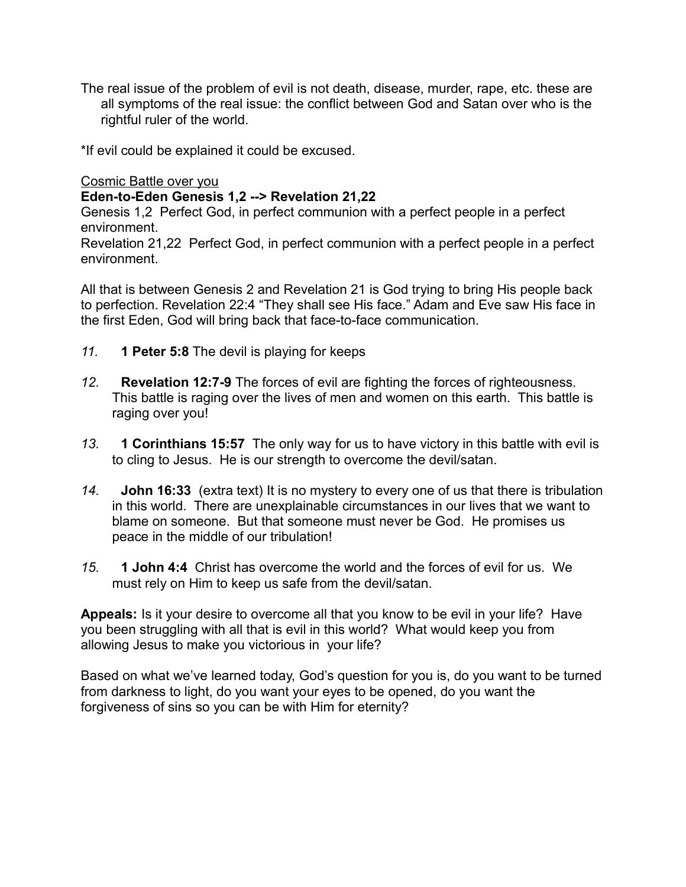The real issue of the problem of evil is not death, disease, murder, rape, etc. these are all symptoms of the real issue: the conflict between God and Satan over who is the rightful ruler of the world.

\*If evil could be explained it could be excused.

Cosmic Battle over you

### **Eden-to-Eden Genesis 1,2 --> Revelation 21,22**

Genesis 1,2 Perfect God, in perfect communion with a perfect people in a perfect environment.

Revelation 21,22 Perfect God, in perfect communion with a perfect people in a perfect environment.

All that is between Genesis 2 and Revelation 21 is God trying to bring His people back to perfection. Revelation 22:4 "They shall see His face." Adam and Eve saw His face in the first Eden, God will bring back that face-to-face communication.

- *11.* **1 Peter 5:8** The devil is playing for keeps
- *12.* **Revelation 12:7-9** The forces of evil are fighting the forces of righteousness. This battle is raging over the lives of men and women on this earth. This battle is raging over you!
- *13.* **1 Corinthians 15:57** The only way for us to have victory in this battle with evil is to cling to Jesus. He is our strength to overcome the devil/satan.
- *14.* **John 16:33** (extra text) It is no mystery to every one of us that there is tribulation in this world. There are unexplainable circumstances in our lives that we want to blame on someone. But that someone must never be God. He promises us peace in the middle of our tribulation!
- *15.* **1 John 4:4** Christ has overcome the world and the forces of evil for us. We must rely on Him to keep us safe from the devil/satan.

**Appeals:** Is it your desire to overcome all that you know to be evil in your life? Have you been struggling with all that is evil in this world? What would keep you from allowing Jesus to make you victorious in your life?

Based on what we've learned today, God's question for you is, do you want to be turned from darkness to light, do you want your eyes to be opened, do you want the forgiveness of sins so you can be with Him for eternity?